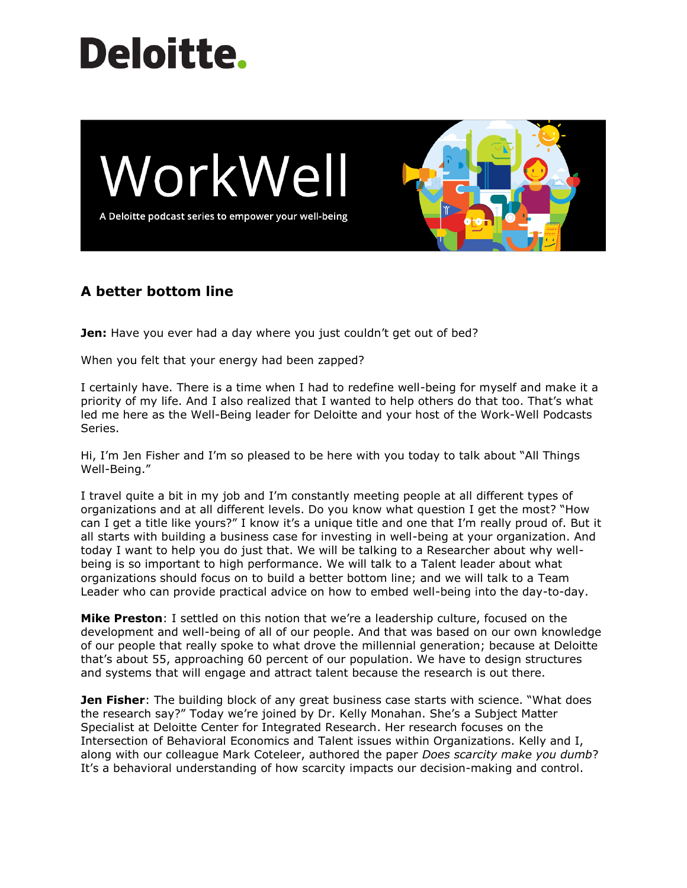# **Deloitte.**



# **A better bottom line**

**Jen:** Have you ever had a day where you just couldn't get out of bed?

When you felt that your energy had been zapped?

I certainly have. There is a time when I had to redefine well-being for myself and make it a priority of my life. And I also realized that I wanted to help others do that too. That's what led me here as the Well-Being leader for Deloitte and your host of the Work-Well Podcasts Series.

Hi, I'm Jen Fisher and I'm so pleased to be here with you today to talk about "All Things Well-Being."

I travel quite a bit in my job and I'm constantly meeting people at all different types of organizations and at all different levels. Do you know what question I get the most? "How can I get a title like yours?" I know it's a unique title and one that I'm really proud of. But it all starts with building a business case for investing in well-being at your organization. And today I want to help you do just that. We will be talking to a Researcher about why wellbeing is so important to high performance. We will talk to a Talent leader about what organizations should focus on to build a better bottom line; and we will talk to a Team Leader who can provide practical advice on how to embed well-being into the day-to-day.

**Mike Preston**: I settled on this notion that we're a leadership culture, focused on the development and well-being of all of our people. And that was based on our own knowledge of our people that really spoke to what drove the millennial generation; because at Deloitte that's about 55, approaching 60 percent of our population. We have to design structures and systems that will engage and attract talent because the research is out there.

**Jen Fisher**: The building block of any great business case starts with science. "What does the research say?" Today we're joined by Dr. Kelly Monahan. She's a Subject Matter Specialist at Deloitte Center for Integrated Research. Her research focuses on the Intersection of Behavioral Economics and Talent issues within Organizations. Kelly and I, along with our colleague Mark Coteleer, authored the paper *Does scarcity make you dumb*? It's a behavioral understanding of how scarcity impacts our decision-making and control.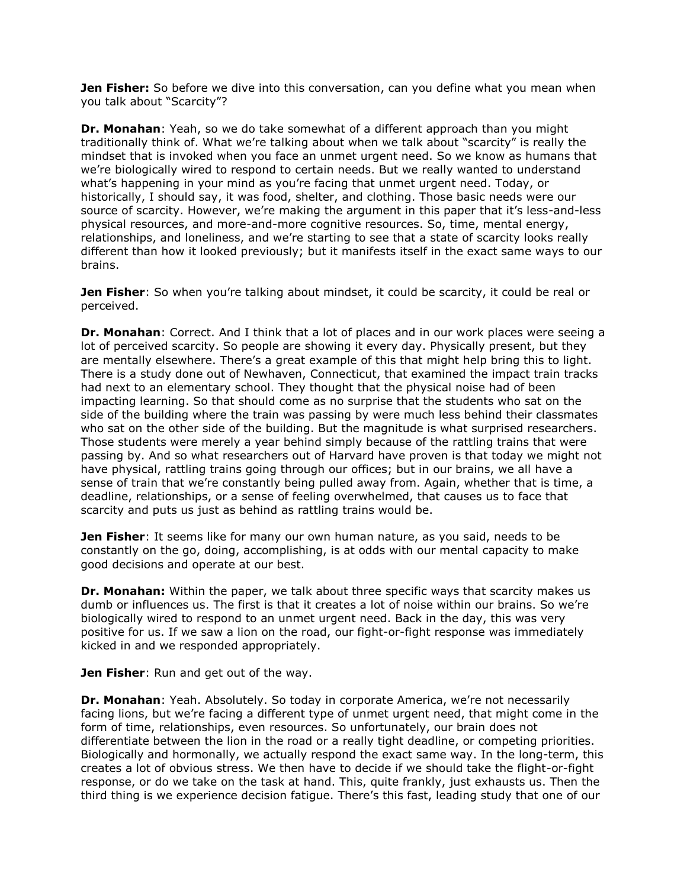**Jen Fisher:** So before we dive into this conversation, can you define what you mean when you talk about "Scarcity"?

**Dr. Monahan**: Yeah, so we do take somewhat of a different approach than you might traditionally think of. What we're talking about when we talk about "scarcity" is really the mindset that is invoked when you face an unmet urgent need. So we know as humans that we're biologically wired to respond to certain needs. But we really wanted to understand what's happening in your mind as you're facing that unmet urgent need. Today, or historically, I should say, it was food, shelter, and clothing. Those basic needs were our source of scarcity. However, we're making the argument in this paper that it's less-and-less physical resources, and more-and-more cognitive resources. So, time, mental energy, relationships, and loneliness, and we're starting to see that a state of scarcity looks really different than how it looked previously; but it manifests itself in the exact same ways to our brains.

**Jen Fisher**: So when you're talking about mindset, it could be scarcity, it could be real or perceived.

**Dr. Monahan**: Correct. And I think that a lot of places and in our work places were seeing a lot of perceived scarcity. So people are showing it every day. Physically present, but they are mentally elsewhere. There's a great example of this that might help bring this to light. There is a study done out of Newhaven, Connecticut, that examined the impact train tracks had next to an elementary school. They thought that the physical noise had of been impacting learning. So that should come as no surprise that the students who sat on the side of the building where the train was passing by were much less behind their classmates who sat on the other side of the building. But the magnitude is what surprised researchers. Those students were merely a year behind simply because of the rattling trains that were passing by. And so what researchers out of Harvard have proven is that today we might not have physical, rattling trains going through our offices; but in our brains, we all have a sense of train that we're constantly being pulled away from. Again, whether that is time, a deadline, relationships, or a sense of feeling overwhelmed, that causes us to face that scarcity and puts us just as behind as rattling trains would be.

**Jen Fisher**: It seems like for many our own human nature, as you said, needs to be constantly on the go, doing, accomplishing, is at odds with our mental capacity to make good decisions and operate at our best.

**Dr. Monahan:** Within the paper, we talk about three specific ways that scarcity makes us dumb or influences us. The first is that it creates a lot of noise within our brains. So we're biologically wired to respond to an unmet urgent need. Back in the day, this was very positive for us. If we saw a lion on the road, our fight-or-fight response was immediately kicked in and we responded appropriately.

**Jen Fisher**: Run and get out of the way.

**Dr. Monahan**: Yeah. Absolutely. So today in corporate America, we're not necessarily facing lions, but we're facing a different type of unmet urgent need, that might come in the form of time, relationships, even resources. So unfortunately, our brain does not differentiate between the lion in the road or a really tight deadline, or competing priorities. Biologically and hormonally, we actually respond the exact same way. In the long-term, this creates a lot of obvious stress. We then have to decide if we should take the flight-or-fight response, or do we take on the task at hand. This, quite frankly, just exhausts us. Then the third thing is we experience decision fatigue. There's this fast, leading study that one of our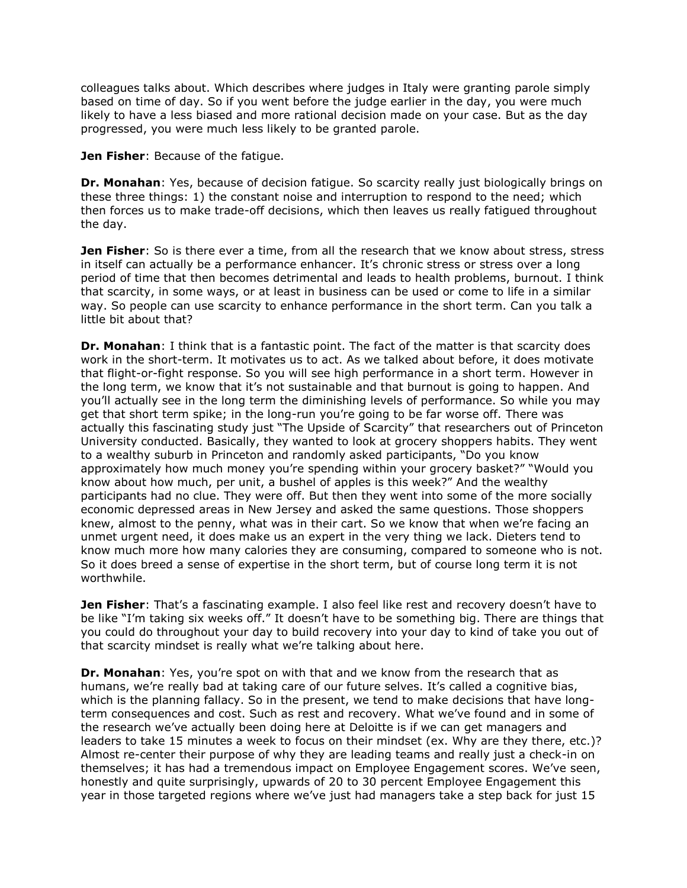colleagues talks about. Which describes where judges in Italy were granting parole simply based on time of day. So if you went before the judge earlier in the day, you were much likely to have a less biased and more rational decision made on your case. But as the day progressed, you were much less likely to be granted parole.

**Jen Fisher:** Because of the fatique.

**Dr. Monahan**: Yes, because of decision fatigue. So scarcity really just biologically brings on these three things: 1) the constant noise and interruption to respond to the need; which then forces us to make trade-off decisions, which then leaves us really fatigued throughout the day.

**Jen Fisher**: So is there ever a time, from all the research that we know about stress, stress in itself can actually be a performance enhancer. It's chronic stress or stress over a long period of time that then becomes detrimental and leads to health problems, burnout. I think that scarcity, in some ways, or at least in business can be used or come to life in a similar way. So people can use scarcity to enhance performance in the short term. Can you talk a little bit about that?

**Dr. Monahan**: I think that is a fantastic point. The fact of the matter is that scarcity does work in the short-term. It motivates us to act. As we talked about before, it does motivate that flight-or-fight response. So you will see high performance in a short term. However in the long term, we know that it's not sustainable and that burnout is going to happen. And you'll actually see in the long term the diminishing levels of performance. So while you may get that short term spike; in the long-run you're going to be far worse off. There was actually this fascinating study just "The Upside of Scarcity" that researchers out of Princeton University conducted. Basically, they wanted to look at grocery shoppers habits. They went to a wealthy suburb in Princeton and randomly asked participants, "Do you know approximately how much money you're spending within your grocery basket?" "Would you know about how much, per unit, a bushel of apples is this week?" And the wealthy participants had no clue. They were off. But then they went into some of the more socially economic depressed areas in New Jersey and asked the same questions. Those shoppers knew, almost to the penny, what was in their cart. So we know that when we're facing an unmet urgent need, it does make us an expert in the very thing we lack. Dieters tend to know much more how many calories they are consuming, compared to someone who is not. So it does breed a sense of expertise in the short term, but of course long term it is not worthwhile.

**Jen Fisher**: That's a fascinating example. I also feel like rest and recovery doesn't have to be like "I'm taking six weeks off." It doesn't have to be something big. There are things that you could do throughout your day to build recovery into your day to kind of take you out of that scarcity mindset is really what we're talking about here.

**Dr. Monahan**: Yes, you're spot on with that and we know from the research that as humans, we're really bad at taking care of our future selves. It's called a cognitive bias, which is the planning fallacy. So in the present, we tend to make decisions that have longterm consequences and cost. Such as rest and recovery. What we've found and in some of the research we've actually been doing here at Deloitte is if we can get managers and leaders to take 15 minutes a week to focus on their mindset (ex. Why are they there, etc.)? Almost re-center their purpose of why they are leading teams and really just a check-in on themselves; it has had a tremendous impact on Employee Engagement scores. We've seen, honestly and quite surprisingly, upwards of 20 to 30 percent Employee Engagement this year in those targeted regions where we've just had managers take a step back for just 15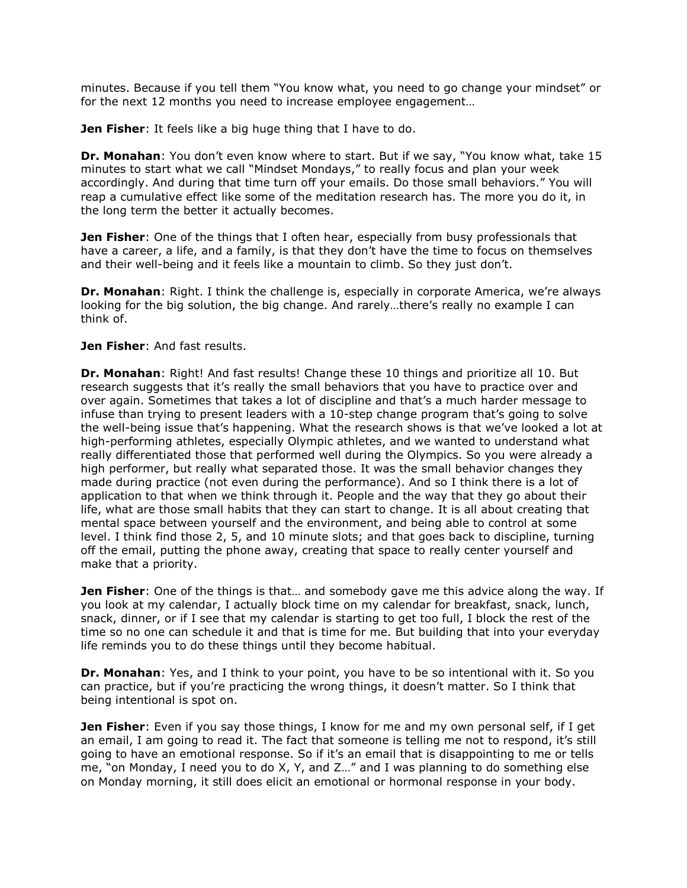minutes. Because if you tell them "You know what, you need to go change your mindset" or for the next 12 months you need to increase employee engagement…

**Jen Fisher**: It feels like a big huge thing that I have to do.

**Dr. Monahan**: You don't even know where to start. But if we say, "You know what, take 15 minutes to start what we call "Mindset Mondays," to really focus and plan your week accordingly. And during that time turn off your emails. Do those small behaviors." You will reap a cumulative effect like some of the meditation research has. The more you do it, in the long term the better it actually becomes.

**Jen Fisher**: One of the things that I often hear, especially from busy professionals that have a career, a life, and a family, is that they don't have the time to focus on themselves and their well-being and it feels like a mountain to climb. So they just don't.

**Dr. Monahan**: Right. I think the challenge is, especially in corporate America, we're always looking for the big solution, the big change. And rarely…there's really no example I can think of.

## **Jen Fisher**: And fast results.

**Dr. Monahan**: Right! And fast results! Change these 10 things and prioritize all 10. But research suggests that it's really the small behaviors that you have to practice over and over again. Sometimes that takes a lot of discipline and that's a much harder message to infuse than trying to present leaders with a 10-step change program that's going to solve the well-being issue that's happening. What the research shows is that we've looked a lot at high-performing athletes, especially Olympic athletes, and we wanted to understand what really differentiated those that performed well during the Olympics. So you were already a high performer, but really what separated those. It was the small behavior changes they made during practice (not even during the performance). And so I think there is a lot of application to that when we think through it. People and the way that they go about their life, what are those small habits that they can start to change. It is all about creating that mental space between yourself and the environment, and being able to control at some level. I think find those 2, 5, and 10 minute slots; and that goes back to discipline, turning off the email, putting the phone away, creating that space to really center yourself and make that a priority.

**Jen Fisher**: One of the things is that… and somebody gave me this advice along the way. If you look at my calendar, I actually block time on my calendar for breakfast, snack, lunch, snack, dinner, or if I see that my calendar is starting to get too full, I block the rest of the time so no one can schedule it and that is time for me. But building that into your everyday life reminds you to do these things until they become habitual.

**Dr. Monahan**: Yes, and I think to your point, you have to be so intentional with it. So you can practice, but if you're practicing the wrong things, it doesn't matter. So I think that being intentional is spot on.

**Jen Fisher**: Even if you say those things, I know for me and my own personal self, if I get an email, I am going to read it. The fact that someone is telling me not to respond, it's still going to have an emotional response. So if it's an email that is disappointing to me or tells me, "on Monday, I need you to do X, Y, and Z…" and I was planning to do something else on Monday morning, it still does elicit an emotional or hormonal response in your body.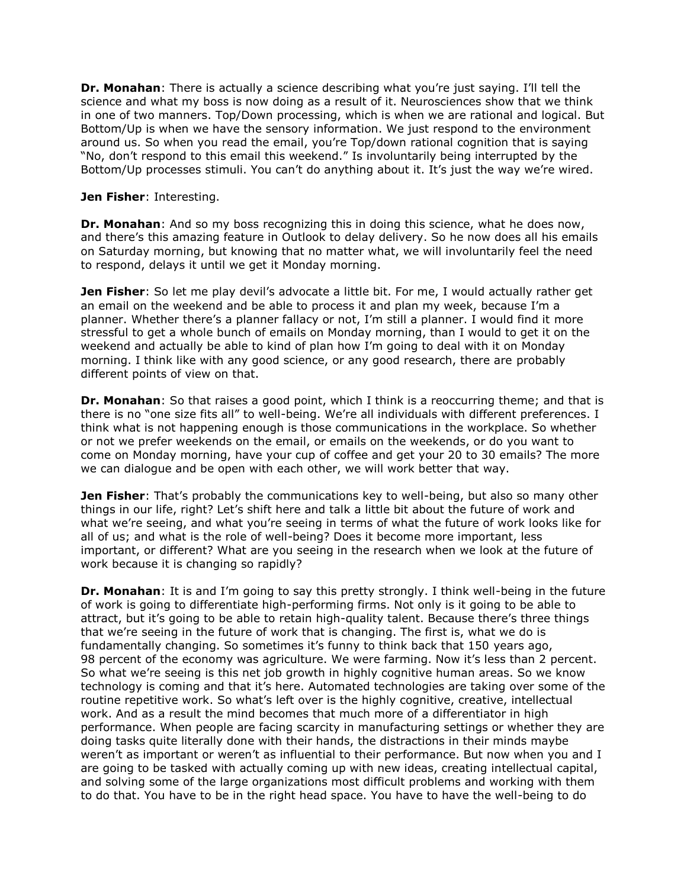**Dr. Monahan**: There is actually a science describing what you're just saying. I'll tell the science and what my boss is now doing as a result of it. Neurosciences show that we think in one of two manners. Top/Down processing, which is when we are rational and logical. But Bottom/Up is when we have the sensory information. We just respond to the environment around us. So when you read the email, you're Top/down rational cognition that is saying "No, don't respond to this email this weekend." Is involuntarily being interrupted by the Bottom/Up processes stimuli. You can't do anything about it. It's just the way we're wired.

### **Jen Fisher**: Interesting.

**Dr. Monahan**: And so my boss recognizing this in doing this science, what he does now, and there's this amazing feature in Outlook to delay delivery. So he now does all his emails on Saturday morning, but knowing that no matter what, we will involuntarily feel the need to respond, delays it until we get it Monday morning.

**Jen Fisher**: So let me play devil's advocate a little bit. For me, I would actually rather get an email on the weekend and be able to process it and plan my week, because I'm a planner. Whether there's a planner fallacy or not, I'm still a planner. I would find it more stressful to get a whole bunch of emails on Monday morning, than I would to get it on the weekend and actually be able to kind of plan how I'm going to deal with it on Monday morning. I think like with any good science, or any good research, there are probably different points of view on that.

**Dr. Monahan**: So that raises a good point, which I think is a reoccurring theme; and that is there is no "one size fits all" to well-being. We're all individuals with different preferences. I think what is not happening enough is those communications in the workplace. So whether or not we prefer weekends on the email, or emails on the weekends, or do you want to come on Monday morning, have your cup of coffee and get your 20 to 30 emails? The more we can dialogue and be open with each other, we will work better that way.

**Jen Fisher**: That's probably the communications key to well-being, but also so many other things in our life, right? Let's shift here and talk a little bit about the future of work and what we're seeing, and what you're seeing in terms of what the future of work looks like for all of us; and what is the role of well-being? Does it become more important, less important, or different? What are you seeing in the research when we look at the future of work because it is changing so rapidly?

**Dr. Monahan**: It is and I'm going to say this pretty strongly. I think well-being in the future of work is going to differentiate high-performing firms. Not only is it going to be able to attract, but it's going to be able to retain high-quality talent. Because there's three things that we're seeing in the future of work that is changing. The first is, what we do is fundamentally changing. So sometimes it's funny to think back that 150 years ago, 98 percent of the economy was agriculture. We were farming. Now it's less than 2 percent. So what we're seeing is this net job growth in highly cognitive human areas. So we know technology is coming and that it's here. Automated technologies are taking over some of the routine repetitive work. So what's left over is the highly cognitive, creative, intellectual work. And as a result the mind becomes that much more of a differentiator in high performance. When people are facing scarcity in manufacturing settings or whether they are doing tasks quite literally done with their hands, the distractions in their minds maybe weren't as important or weren't as influential to their performance. But now when you and I are going to be tasked with actually coming up with new ideas, creating intellectual capital, and solving some of the large organizations most difficult problems and working with them to do that. You have to be in the right head space. You have to have the well-being to do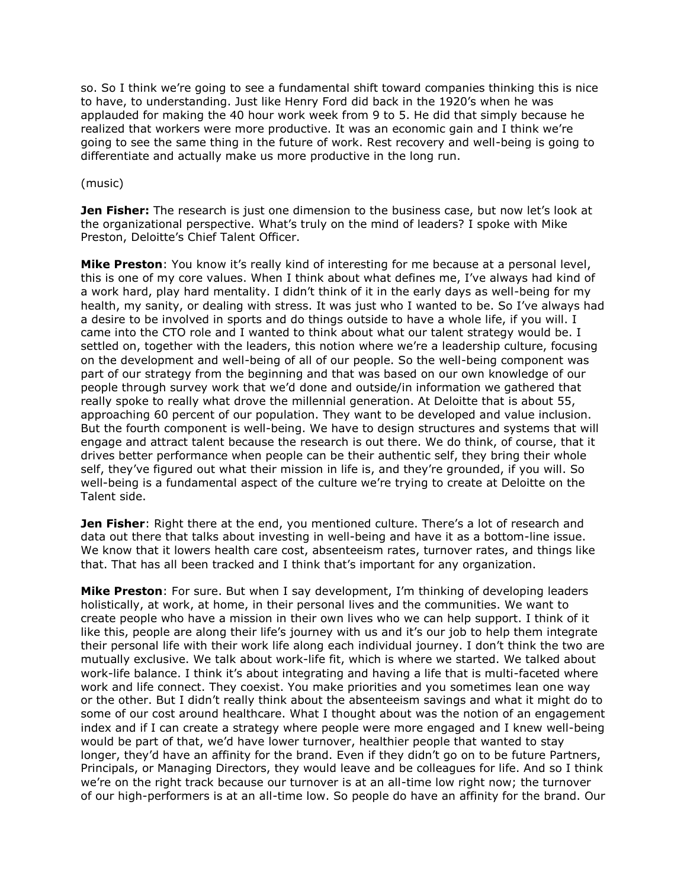so. So I think we're going to see a fundamental shift toward companies thinking this is nice to have, to understanding. Just like Henry Ford did back in the 1920's when he was applauded for making the 40 hour work week from 9 to 5. He did that simply because he realized that workers were more productive. It was an economic gain and I think we're going to see the same thing in the future of work. Rest recovery and well-being is going to differentiate and actually make us more productive in the long run.

#### (music)

**Jen Fisher:** The research is just one dimension to the business case, but now let's look at the organizational perspective. What's truly on the mind of leaders? I spoke with Mike Preston, Deloitte's Chief Talent Officer.

**Mike Preston**: You know it's really kind of interesting for me because at a personal level, this is one of my core values. When I think about what defines me, I've always had kind of a work hard, play hard mentality. I didn't think of it in the early days as well-being for my health, my sanity, or dealing with stress. It was just who I wanted to be. So I've always had a desire to be involved in sports and do things outside to have a whole life, if you will. I came into the CTO role and I wanted to think about what our talent strategy would be. I settled on, together with the leaders, this notion where we're a leadership culture, focusing on the development and well-being of all of our people. So the well-being component was part of our strategy from the beginning and that was based on our own knowledge of our people through survey work that we'd done and outside/in information we gathered that really spoke to really what drove the millennial generation. At Deloitte that is about 55, approaching 60 percent of our population. They want to be developed and value inclusion. But the fourth component is well-being. We have to design structures and systems that will engage and attract talent because the research is out there. We do think, of course, that it drives better performance when people can be their authentic self, they bring their whole self, they've figured out what their mission in life is, and they're grounded, if you will. So well-being is a fundamental aspect of the culture we're trying to create at Deloitte on the Talent side.

**Jen Fisher**: Right there at the end, you mentioned culture. There's a lot of research and data out there that talks about investing in well-being and have it as a bottom-line issue. We know that it lowers health care cost, absenteeism rates, turnover rates, and things like that. That has all been tracked and I think that's important for any organization.

**Mike Preston**: For sure. But when I say development, I'm thinking of developing leaders holistically, at work, at home, in their personal lives and the communities. We want to create people who have a mission in their own lives who we can help support. I think of it like this, people are along their life's journey with us and it's our job to help them integrate their personal life with their work life along each individual journey. I don't think the two are mutually exclusive. We talk about work-life fit, which is where we started. We talked about work-life balance. I think it's about integrating and having a life that is multi-faceted where work and life connect. They coexist. You make priorities and you sometimes lean one way or the other. But I didn't really think about the absenteeism savings and what it might do to some of our cost around healthcare. What I thought about was the notion of an engagement index and if I can create a strategy where people were more engaged and I knew well-being would be part of that, we'd have lower turnover, healthier people that wanted to stay longer, they'd have an affinity for the brand. Even if they didn't go on to be future Partners, Principals, or Managing Directors, they would leave and be colleagues for life. And so I think we're on the right track because our turnover is at an all-time low right now; the turnover of our high-performers is at an all-time low. So people do have an affinity for the brand. Our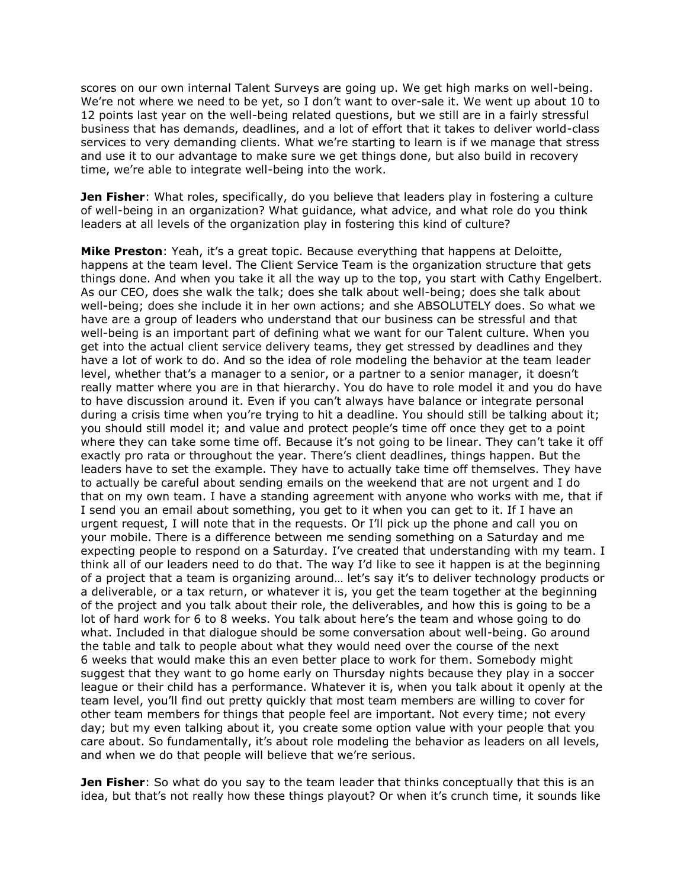scores on our own internal Talent Surveys are going up. We get high marks on well-being. We're not where we need to be yet, so I don't want to over-sale it. We went up about 10 to 12 points last year on the well-being related questions, but we still are in a fairly stressful business that has demands, deadlines, and a lot of effort that it takes to deliver world-class services to very demanding clients. What we're starting to learn is if we manage that stress and use it to our advantage to make sure we get things done, but also build in recovery time, we're able to integrate well-being into the work.

**Jen Fisher**: What roles, specifically, do you believe that leaders play in fostering a culture of well-being in an organization? What guidance, what advice, and what role do you think leaders at all levels of the organization play in fostering this kind of culture?

**Mike Preston**: Yeah, it's a great topic. Because everything that happens at Deloitte, happens at the team level. The Client Service Team is the organization structure that gets things done. And when you take it all the way up to the top, you start with Cathy Engelbert. As our CEO, does she walk the talk; does she talk about well-being; does she talk about well-being; does she include it in her own actions; and she ABSOLUTELY does. So what we have are a group of leaders who understand that our business can be stressful and that well-being is an important part of defining what we want for our Talent culture. When you get into the actual client service delivery teams, they get stressed by deadlines and they have a lot of work to do. And so the idea of role modeling the behavior at the team leader level, whether that's a manager to a senior, or a partner to a senior manager, it doesn't really matter where you are in that hierarchy. You do have to role model it and you do have to have discussion around it. Even if you can't always have balance or integrate personal during a crisis time when you're trying to hit a deadline. You should still be talking about it; you should still model it; and value and protect people's time off once they get to a point where they can take some time off. Because it's not going to be linear. They can't take it off exactly pro rata or throughout the year. There's client deadlines, things happen. But the leaders have to set the example. They have to actually take time off themselves. They have to actually be careful about sending emails on the weekend that are not urgent and I do that on my own team. I have a standing agreement with anyone who works with me, that if I send you an email about something, you get to it when you can get to it. If I have an urgent request, I will note that in the requests. Or I'll pick up the phone and call you on your mobile. There is a difference between me sending something on a Saturday and me expecting people to respond on a Saturday. I've created that understanding with my team. I think all of our leaders need to do that. The way I'd like to see it happen is at the beginning of a project that a team is organizing around… let's say it's to deliver technology products or a deliverable, or a tax return, or whatever it is, you get the team together at the beginning of the project and you talk about their role, the deliverables, and how this is going to be a lot of hard work for 6 to 8 weeks. You talk about here's the team and whose going to do what. Included in that dialogue should be some conversation about well-being. Go around the table and talk to people about what they would need over the course of the next 6 weeks that would make this an even better place to work for them. Somebody might suggest that they want to go home early on Thursday nights because they play in a soccer league or their child has a performance. Whatever it is, when you talk about it openly at the team level, you'll find out pretty quickly that most team members are willing to cover for other team members for things that people feel are important. Not every time; not every day; but my even talking about it, you create some option value with your people that you care about. So fundamentally, it's about role modeling the behavior as leaders on all levels, and when we do that people will believe that we're serious.

**Jen Fisher**: So what do you say to the team leader that thinks conceptually that this is an idea, but that's not really how these things playout? Or when it's crunch time, it sounds like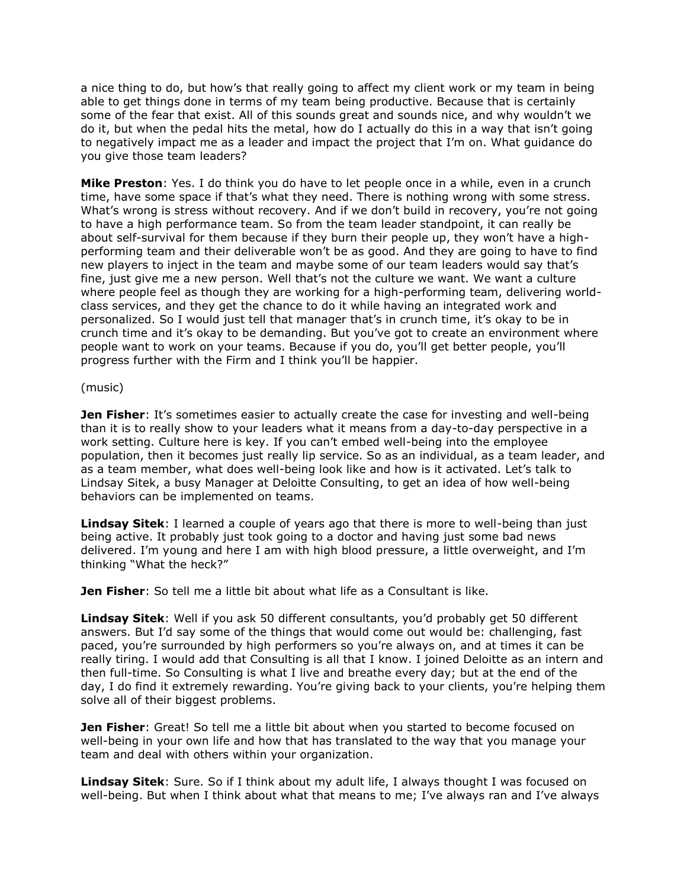a nice thing to do, but how's that really going to affect my client work or my team in being able to get things done in terms of my team being productive. Because that is certainly some of the fear that exist. All of this sounds great and sounds nice, and why wouldn't we do it, but when the pedal hits the metal, how do I actually do this in a way that isn't going to negatively impact me as a leader and impact the project that I'm on. What guidance do you give those team leaders?

**Mike Preston**: Yes. I do think you do have to let people once in a while, even in a crunch time, have some space if that's what they need. There is nothing wrong with some stress. What's wrong is stress without recovery. And if we don't build in recovery, you're not going to have a high performance team. So from the team leader standpoint, it can really be about self-survival for them because if they burn their people up, they won't have a highperforming team and their deliverable won't be as good. And they are going to have to find new players to inject in the team and maybe some of our team leaders would say that's fine, just give me a new person. Well that's not the culture we want. We want a culture where people feel as though they are working for a high-performing team, delivering worldclass services, and they get the chance to do it while having an integrated work and personalized. So I would just tell that manager that's in crunch time, it's okay to be in crunch time and it's okay to be demanding. But you've got to create an environment where people want to work on your teams. Because if you do, you'll get better people, you'll progress further with the Firm and I think you'll be happier.

#### (music)

**Jen Fisher**: It's sometimes easier to actually create the case for investing and well-being than it is to really show to your leaders what it means from a day-to-day perspective in a work setting. Culture here is key. If you can't embed well-being into the employee population, then it becomes just really lip service. So as an individual, as a team leader, and as a team member, what does well-being look like and how is it activated. Let's talk to Lindsay Sitek, a busy Manager at Deloitte Consulting, to get an idea of how well-being behaviors can be implemented on teams.

**Lindsay Sitek**: I learned a couple of years ago that there is more to well-being than just being active. It probably just took going to a doctor and having just some bad news delivered. I'm young and here I am with high blood pressure, a little overweight, and I'm thinking "What the heck?"

**Jen Fisher**: So tell me a little bit about what life as a Consultant is like.

**Lindsay Sitek**: Well if you ask 50 different consultants, you'd probably get 50 different answers. But I'd say some of the things that would come out would be: challenging, fast paced, you're surrounded by high performers so you're always on, and at times it can be really tiring. I would add that Consulting is all that I know. I joined Deloitte as an intern and then full-time. So Consulting is what I live and breathe every day; but at the end of the day, I do find it extremely rewarding. You're giving back to your clients, you're helping them solve all of their biggest problems.

**Jen Fisher**: Great! So tell me a little bit about when you started to become focused on well-being in your own life and how that has translated to the way that you manage your team and deal with others within your organization.

**Lindsay Sitek**: Sure. So if I think about my adult life, I always thought I was focused on well-being. But when I think about what that means to me; I've always ran and I've always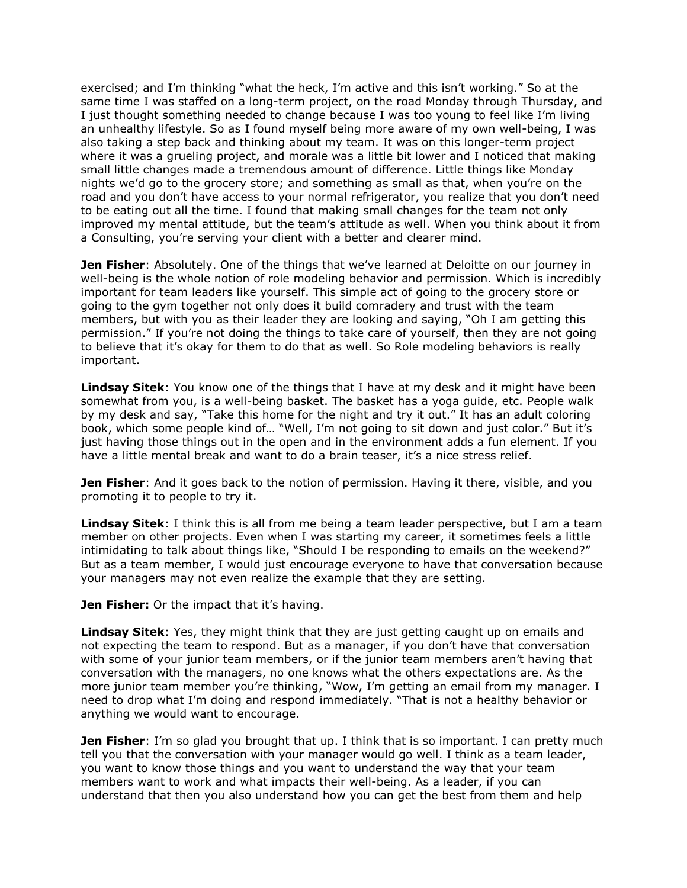exercised; and I'm thinking "what the heck, I'm active and this isn't working." So at the same time I was staffed on a long-term project, on the road Monday through Thursday, and I just thought something needed to change because I was too young to feel like I'm living an unhealthy lifestyle. So as I found myself being more aware of my own well-being, I was also taking a step back and thinking about my team. It was on this longer-term project where it was a grueling project, and morale was a little bit lower and I noticed that making small little changes made a tremendous amount of difference. Little things like Monday nights we'd go to the grocery store; and something as small as that, when you're on the road and you don't have access to your normal refrigerator, you realize that you don't need to be eating out all the time. I found that making small changes for the team not only improved my mental attitude, but the team's attitude as well. When you think about it from a Consulting, you're serving your client with a better and clearer mind.

**Jen Fisher**: Absolutely. One of the things that we've learned at Deloitte on our journey in well-being is the whole notion of role modeling behavior and permission. Which is incredibly important for team leaders like yourself. This simple act of going to the grocery store or going to the gym together not only does it build comradery and trust with the team members, but with you as their leader they are looking and saying, "Oh I am getting this permission." If you're not doing the things to take care of yourself, then they are not going to believe that it's okay for them to do that as well. So Role modeling behaviors is really important.

**Lindsay Sitek**: You know one of the things that I have at my desk and it might have been somewhat from you, is a well-being basket. The basket has a yoga guide, etc. People walk by my desk and say, "Take this home for the night and try it out." It has an adult coloring book, which some people kind of… "Well, I'm not going to sit down and just color." But it's just having those things out in the open and in the environment adds a fun element. If you have a little mental break and want to do a brain teaser, it's a nice stress relief.

**Jen Fisher**: And it goes back to the notion of permission. Having it there, visible, and you promoting it to people to try it.

**Lindsay Sitek**: I think this is all from me being a team leader perspective, but I am a team member on other projects. Even when I was starting my career, it sometimes feels a little intimidating to talk about things like, "Should I be responding to emails on the weekend?" But as a team member, I would just encourage everyone to have that conversation because your managers may not even realize the example that they are setting.

**Jen Fisher:** Or the impact that it's having.

**Lindsay Sitek**: Yes, they might think that they are just getting caught up on emails and not expecting the team to respond. But as a manager, if you don't have that conversation with some of your junior team members, or if the junior team members aren't having that conversation with the managers, no one knows what the others expectations are. As the more junior team member you're thinking, "Wow, I'm getting an email from my manager. I need to drop what I'm doing and respond immediately. "That is not a healthy behavior or anything we would want to encourage.

**Jen Fisher**: I'm so glad you brought that up. I think that is so important. I can pretty much tell you that the conversation with your manager would go well. I think as a team leader, you want to know those things and you want to understand the way that your team members want to work and what impacts their well-being. As a leader, if you can understand that then you also understand how you can get the best from them and help